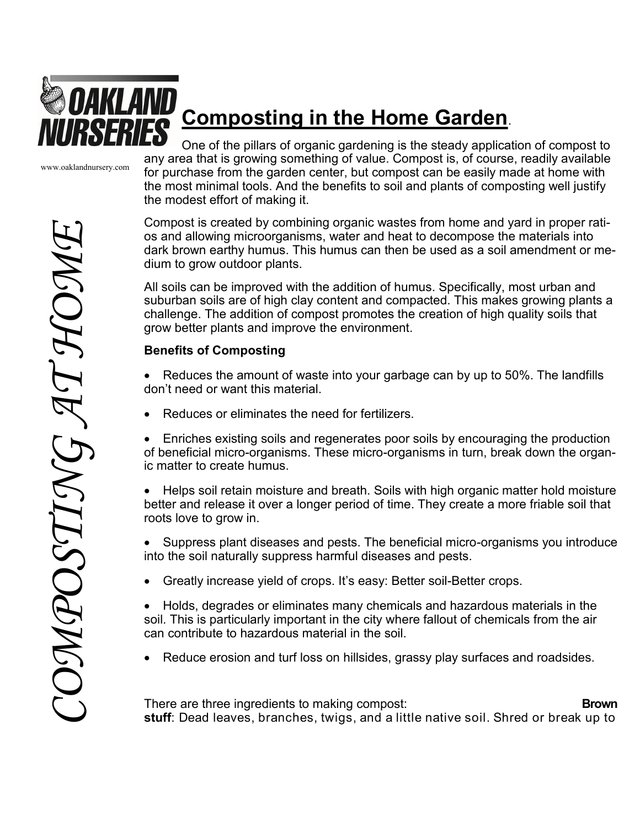

# **Composting in the Home Garden**.

www.oaklandnursery.com

One of the pillars of organic gardening is the steady application of compost to any area that is growing something of value. Compost is, of course, readily available for purchase from the garden center, but compost can be easily made at home with the most minimal tools. And the benefits to soil and plants of composting well justify the modest effort of making it.

Compost is created by combining organic wastes from home and yard in proper ratios and allowing microorganisms, water and heat to decompose the materials into dark brown earthy humus. This humus can then be used as a soil amendment or medium to grow outdoor plants.

All soils can be improved with the addition of humus. Specifically, most urban and suburban soils are of high clay content and compacted. This makes growing plants a challenge. The addition of compost promotes the creation of high quality soils that grow better plants and improve the environment.

## **Benefits of Composting**

- Reduces the amount of waste into your garbage can by up to 50%. The landfills don't need or want this material.
- Reduces or eliminates the need for fertilizers.
- Enriches existing soils and regenerates poor soils by encouraging the production of beneficial micro-organisms. These micro-organisms in turn, break down the organic matter to create humus.
- Helps soil retain moisture and breath. Soils with high organic matter hold moisture better and release it over a longer period of time. They create a more friable soil that roots love to grow in.
- Suppress plant diseases and pests. The beneficial micro-organisms you introduce into the soil naturally suppress harmful diseases and pests.
- Greatly increase yield of crops. It's easy: Better soil-Better crops.
- Holds, degrades or eliminates many chemicals and hazardous materials in the soil. This is particularly important in the city where fallout of chemicals from the air can contribute to hazardous material in the soil.
- Reduce erosion and turf loss on hillsides, grassy play surfaces and roadsides.

There are three ingredients to making compost: **Brown stuff**: Dead leaves, branches, twigs, and a little native soil. Shred or break up to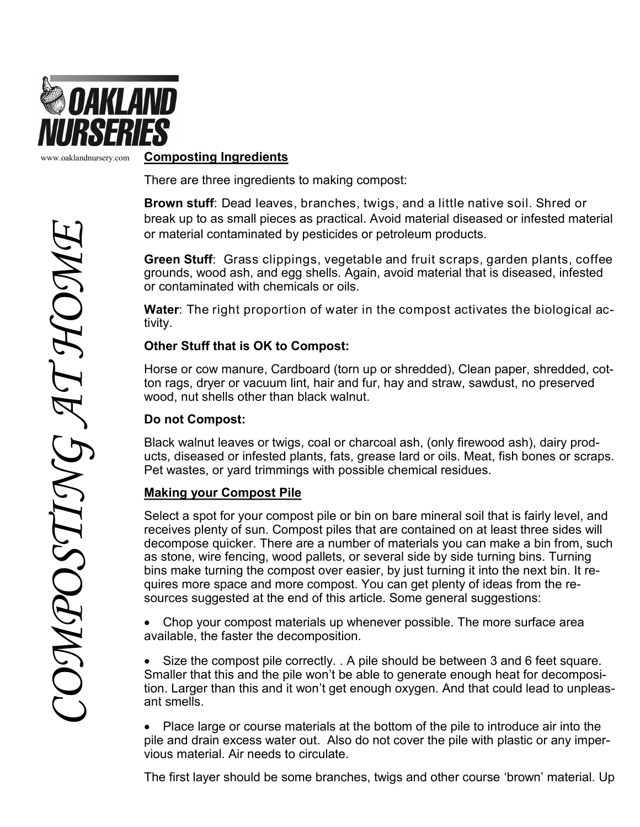

www.oaklandnursery.com

#### **Composting Ingredients**

There are three ingredients to making compost:

**Brown stuff**: Dead leaves, branches, twigs, and a little native soil. Shred or break up to as small pieces as practical. Avoid material diseased or infested material or material contaminated by pesticides or petroleum products.

**Green Stuff**: Grass clippings, vegetable and fruit scraps, garden plants, coffee grounds, wood ash, and egg shells. Again, avoid material that is diseased, infested or contaminated with chemicals or oils.

**Water**: The right proportion of water in the compost activates the biological activity.

#### **Other Stuff that is OK to Compost:**

Horse or cow manure, Cardboard (torn up or shredded), Clean paper, shredded, cotton rags, dryer or vacuum lint, hair and fur, hay and straw, sawdust, no preserved wood, nut shells other than black walnut.

#### **Do not Compost:**

Black walnut leaves or twigs, coal or charcoal ash, (only firewood ash), dairy products, diseased or infested plants, fats, grease lard or oils. Meat, fish bones or scraps. Pet wastes, or yard trimmings with possible chemical residues.

#### **Making your Compost Pile**

Select a spot for your compost pile or bin on bare mineral soil that is fairly level, and receives plenty of sun. Compost piles that are contained on at least three sides will decompose quicker. There are a number of materials you can make a bin from, such as stone, wire fencing, wood pallets, or several side by side turning bins. Turning bins make turning the compost over easier, by just turning it into the next bin. It requires more space and more compost. You can get plenty of ideas from the resources suggested at the end of this article. Some general suggestions:

 Chop your compost materials up whenever possible. The more surface area available, the faster the decomposition.

 Size the compost pile correctly. . A pile should be between 3 and 6 feet square. Smaller that this and the pile won't be able to generate enough heat for decomposition. Larger than this and it won't get enough oxygen. And that could lead to unpleasant smells.

 Place large or course materials at the bottom of the pile to introduce air into the pile and drain excess water out. Also do not cover the pile with plastic or any impervious material. Air needs to circulate.

The first layer should be some branches, twigs and other course 'brown' material. Up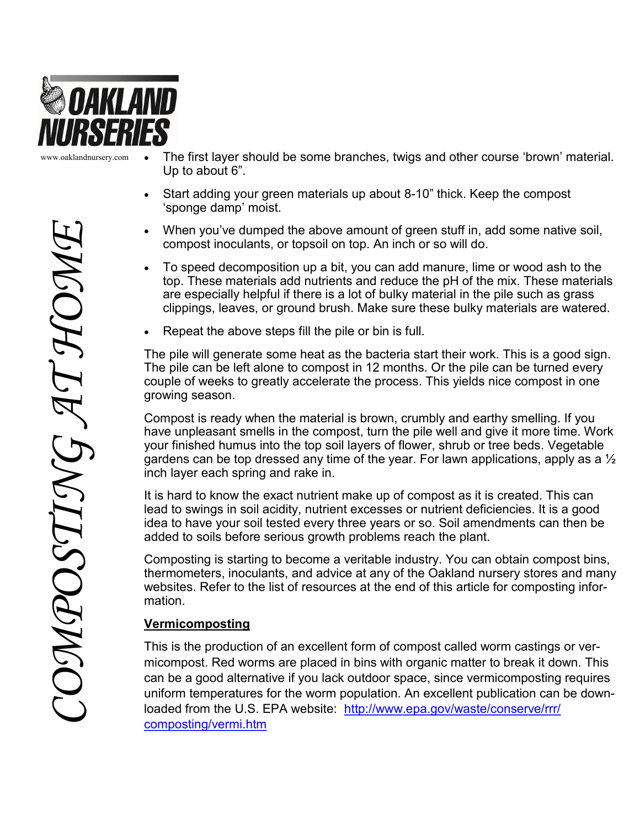

www.oaklandnursery.com

- The first layer should be some branches, twigs and other course 'brown' material. Up to about 6".
- Start adding your green materials up about 8-10" thick. Keep the compost 'sponge damp' moist.
- When you've dumped the above amount of green stuff in, add some native soil, compost inoculants, or topsoil on top. An inch or so will do.
- To speed decomposition up a bit, you can add manure, lime or wood ash to the top. These materials add nutrients and reduce the pH of the mix. These materials are especially helpful if there is a lot of bulky material in the pile such as grass clippings, leaves, or ground brush. Make sure these bulky materials are watered.
- Repeat the above steps fill the pile or bin is full.

The pile will generate some heat as the bacteria start their work. This is a good sign. The pile can be left alone to compost in 12 months. Or the pile can be turned every couple of weeks to greatly accelerate the process. This yields nice compost in one growing season.

Compost is ready when the material is brown, crumbly and earthy smelling. If you have unpleasant smells in the compost, turn the pile well and give it more time. Work your finished humus into the top soil layers of flower, shrub or tree beds. Vegetable gardens can be top dressed any time of the year. For lawn applications, apply as a  $\frac{1}{2}$ inch layer each spring and rake in.

It is hard to know the exact nutrient make up of compost as it is created. This can lead to swings in soil acidity, nutrient excesses or nutrient deficiencies. It is a good idea to have your soil tested every three years or so. Soil amendments can then be added to soils before serious growth problems reach the plant.

Composting is starting to become a veritable industry. You can obtain compost bins, thermometers, inoculants, and advice at any of the Oakland nursery stores and many websites. Refer to the list of resources at the end of this article for composting information.

#### **Vermicomposting**

This is the production of an excellent form of compost called worm castings or vermicompost. Red worms are placed in bins with organic matter to break it down. This can be a good alternative if you lack outdoor space, since vermicomposting requires uniform temperatures for the worm population. An excellent publication can be downloaded from the U.S. EPA website: [http://www.epa.gov/waste/conserve/rrr/](http://www.epa.gov/waste/conserve/rrr/composting/vermi.htm) [composting/vermi.htm](http://www.epa.gov/waste/conserve/rrr/composting/vermi.htm)